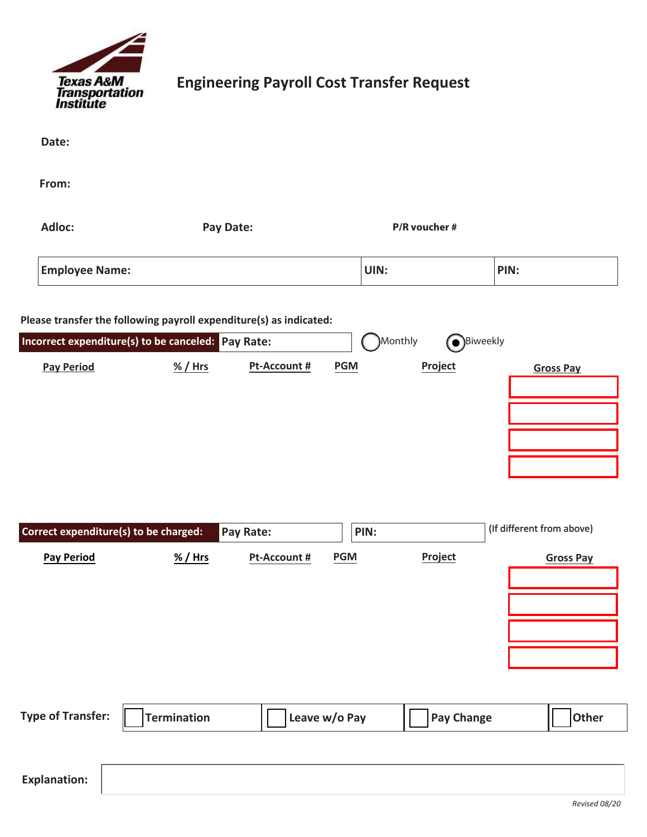

## **Engineering Payroll Cost Transfer Request**

| Date:                                                                   |                    |                           |                    |                                         |                                               |  |
|-------------------------------------------------------------------------|--------------------|---------------------------|--------------------|-----------------------------------------|-----------------------------------------------|--|
| From:                                                                   |                    |                           |                    |                                         |                                               |  |
| Adloc:                                                                  | Pay Date:          |                           | P/R voucher #      |                                         |                                               |  |
| <b>Employee Name:</b>                                                   |                    |                           | UIN:               |                                         | PIN:                                          |  |
| Please transfer the following payroll expenditure(s) as indicated:      |                    |                           |                    |                                         |                                               |  |
| Incorrect expenditure(s) to be canceled: Pay Rate:<br><b>Pay Period</b> | % / Hrs            | Pt-Account #              | <b>PGM</b>         | Monthly)<br><b>OBiweekly</b><br>Project | <b>Gross Pay</b>                              |  |
| Correct expenditure(s) to be charged:<br><b>Pay Period</b>              | % / Hrs            | Pay Rate:<br>Pt-Account # | PIN:<br><b>PGM</b> | Project                                 | (If different from above)<br><b>Gross Pay</b> |  |
| <b>Type of Transfer:</b>                                                | <b>Termination</b> |                           | Leave w/o Pay      | <b>Pay Change</b>                       | Other                                         |  |
| <b>Explanation:</b>                                                     |                    |                           |                    |                                         |                                               |  |